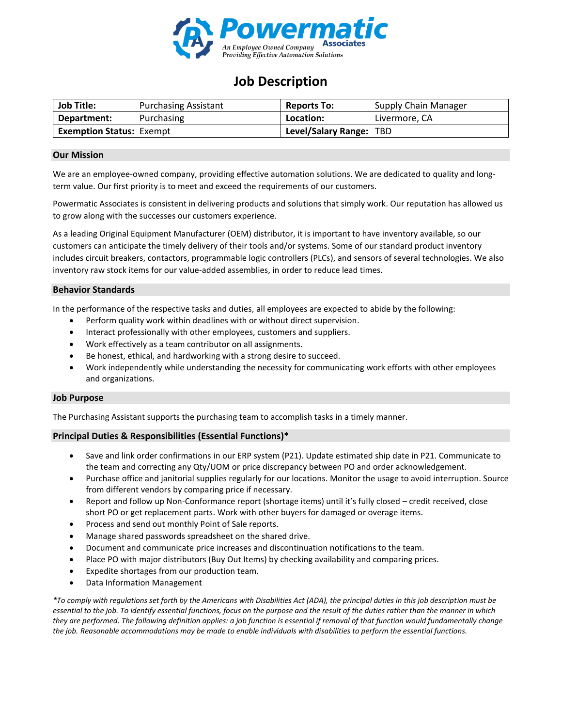

# **Job Description**

| <b>Job Title:</b>               | <b>Purchasing Assistant</b> | <b>Reports To:</b>      | <b>Supply Chain Manager</b> |
|---------------------------------|-----------------------------|-------------------------|-----------------------------|
| Department:                     | Purchasing                  | Location:               | Livermore, CA               |
| <b>Exemption Status: Exempt</b> |                             | Level/Salary Range: TBD |                             |

#### **Our Mission**

We are an employee-owned company, providing effective automation solutions. We are dedicated to quality and longterm value. Our first priority is to meet and exceed the requirements of our customers.

Powermatic Associates is consistent in delivering products and solutions that simply work. Our reputation has allowed us to grow along with the successes our customers experience.

As a leading Original Equipment Manufacturer (OEM) distributor, it is important to have inventory available, so our customers can anticipate the timely delivery of their tools and/or systems. Some of our standard product inventory includes circuit breakers, contactors, programmable logic controllers (PLCs), and sensors of several technologies. We also inventory raw stock items for our value-added assemblies, in order to reduce lead times.

#### **Behavior Standards**

In the performance of the respective tasks and duties, all employees are expected to abide by the following:

- Perform quality work within deadlines with or without direct supervision.
- Interact professionally with other employees, customers and suppliers.
- Work effectively as a team contributor on all assignments.
- Be honest, ethical, and hardworking with a strong desire to succeed.
- Work independently while understanding the necessity for communicating work efforts with other employees and organizations.

#### **Job Purpose**

The Purchasing Assistant supports the purchasing team to accomplish tasks in a timely manner.

### **Principal Duties & Responsibilities (Essential Functions)\***

- Save and link order confirmations in our ERP system (P21). Update estimated ship date in P21. Communicate to the team and correcting any Qty/UOM or price discrepancy between PO and order acknowledgement.
- Purchase office and janitorial supplies regularly for our locations. Monitor the usage to avoid interruption. Source from different vendors by comparing price if necessary.
- Report and follow up Non-Conformance report (shortage items) until it's fully closed credit received, close short PO or get replacement parts. Work with other buyers for damaged or overage items.
- Process and send out monthly Point of Sale reports.
- Manage shared passwords spreadsheet on the shared drive.
- Document and communicate price increases and discontinuation notifications to the team.
- Place PO with major distributors (Buy Out Items) by checking availability and comparing prices.
- Expedite shortages from our production team.
- Data Information Management

*\*To comply with regulations set forth by the Americans with Disabilities Act (ADA), the principal duties in this job description must be essential to the job. To identify essential functions, focus on the purpose and the result of the duties rather than the manner in which they are performed. The following definition applies: a job function is essential if removal of that function would fundamentally change the job. Reasonable accommodations may be made to enable individuals with disabilities to perform the essential functions.*